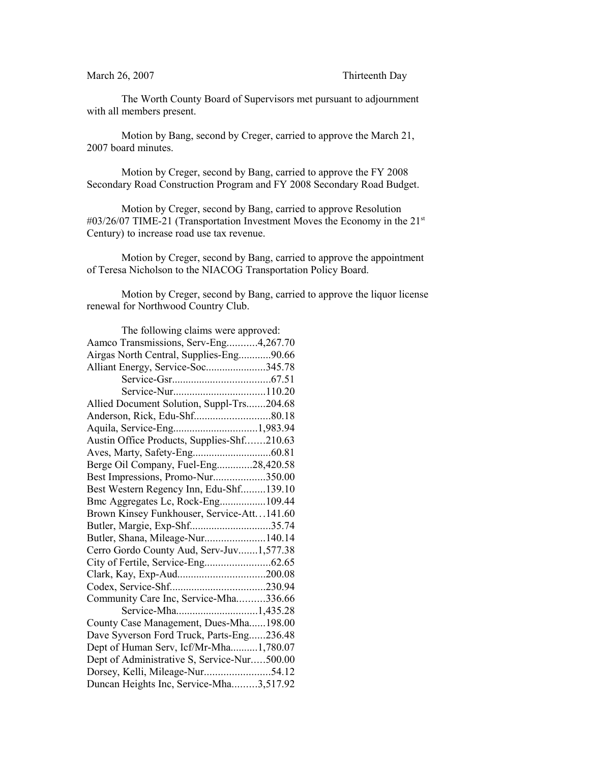March 26, 2007 Thirteenth Day

The Worth County Board of Supervisors met pursuant to adjournment with all members present.

Motion by Bang, second by Creger, carried to approve the March 21, 2007 board minutes.

Motion by Creger, second by Bang, carried to approve the FY 2008 Secondary Road Construction Program and FY 2008 Secondary Road Budget.

Motion by Creger, second by Bang, carried to approve Resolution #03/26/07 TIME-21 (Transportation Investment Moves the Economy in the 21<sup>st</sup> Century) to increase road use tax revenue.

Motion by Creger, second by Bang, carried to approve the appointment of Teresa Nicholson to the NIACOG Transportation Policy Board.

Motion by Creger, second by Bang, carried to approve the liquor license renewal for Northwood Country Club.

| The following claims were approved:         |
|---------------------------------------------|
| Aamco Transmissions, Serv-Eng4,267.70       |
| Airgas North Central, Supplies-Eng90.66     |
| Alliant Energy, Service-Soc345.78           |
|                                             |
|                                             |
| Allied Document Solution, Suppl-Trs204.68   |
|                                             |
|                                             |
| Austin Office Products, Supplies-Shf210.63  |
|                                             |
| Berge Oil Company, Fuel-Eng28,420.58        |
| Best Impressions, Promo-Nur350.00           |
| Best Western Regency Inn, Edu-Shf139.10     |
| Bmc Aggregates Lc, Rock-Eng109.44           |
| Brown Kinsey Funkhouser, Service-Att141.60  |
| Butler, Margie, Exp-Shf35.74                |
| Butler, Shana, Mileage-Nur140.14            |
| Cerro Gordo County Aud, Serv-Juv1,577.38    |
| City of Fertile, Service-Eng62.65           |
| Clark, Kay, Exp-Aud200.08                   |
|                                             |
| Community Care Inc, Service-Mha336.66       |
| Service-Mha1,435.28                         |
| County Case Management, Dues-Mha198.00      |
| Dave Syverson Ford Truck, Parts-Eng236.48   |
| Dept of Human Serv, Icf/Mr-Mha1,780.07      |
| Dept of Administrative S, Service-Nur500.00 |
| Dorsey, Kelli, Mileage-Nur54.12             |
| Duncan Heights Inc, Service-Mha3,517.92     |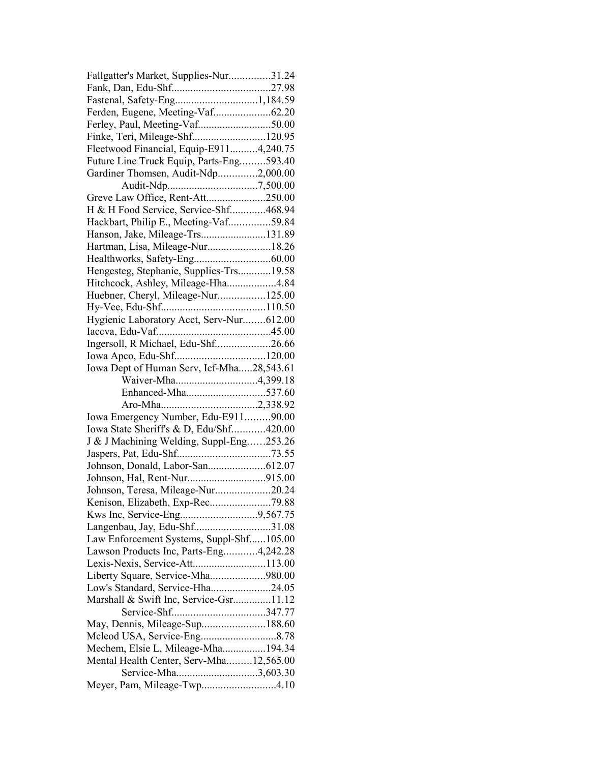| Fallgatter's Market, Supplies-Nur31.24                       |  |
|--------------------------------------------------------------|--|
|                                                              |  |
|                                                              |  |
| Ferden, Eugene, Meeting-Vaf62.20                             |  |
| Ferley, Paul, Meeting-Vaf50.00                               |  |
| Finke, Teri, Mileage-Shf120.95                               |  |
| Fleetwood Financial, Equip-E9114,240.75                      |  |
| Future Line Truck Equip, Parts-Eng593.40                     |  |
| Gardiner Thomsen, Audit-Ndp2,000.00                          |  |
|                                                              |  |
| Greve Law Office, Rent-Att250.00                             |  |
| H & H Food Service, Service-Shf468.94                        |  |
| Hackbart, Philip E., Meeting-Vaf59.84                        |  |
| Hanson, Jake, Mileage-Trs131.89                              |  |
| Hartman, Lisa, Mileage-Nur18.26                              |  |
|                                                              |  |
| Hengesteg, Stephanie, Supplies-Trs19.58                      |  |
| Hitchcock, Ashley, Mileage-Hha4.84                           |  |
| Huebner, Cheryl, Mileage-Nur125.00                           |  |
|                                                              |  |
| Hygienic Laboratory Acct, Serv-Nur612.00                     |  |
|                                                              |  |
| Ingersoll, R Michael, Edu-Shf26.66                           |  |
|                                                              |  |
| Iowa Dept of Human Serv, Icf-Mha28,543.61                    |  |
| Waiver-Mha4,399.18                                           |  |
| Enhanced-Mha537.60                                           |  |
|                                                              |  |
| Iowa Emergency Number, Edu-E91190.00                         |  |
| Iowa State Sheriff's & D, Edu/Shf420.00                      |  |
| J & J Machining Welding, Suppl-Eng253.26                     |  |
|                                                              |  |
|                                                              |  |
|                                                              |  |
| Johnson, Teresa, Mileage-Nur20.24                            |  |
| Kenison, Elizabeth, Exp-Rec79.88                             |  |
|                                                              |  |
| Kws Inc, Service-Eng9,567.75<br>Langenbau, Jay, Edu-Shf31.08 |  |
| Law Enforcement Systems, Suppl-Shf105.00                     |  |
|                                                              |  |
|                                                              |  |
| Lawson Products Inc, Parts-Eng4,242.28                       |  |
| Lexis-Nexis, Service-Att113.00                               |  |
| Liberty Square, Service-Mha980.00                            |  |
| Low's Standard, Service-Hha24.05                             |  |
| Marshall & Swift Inc, Service-Gsr11.12                       |  |
|                                                              |  |
| May, Dennis, Mileage-Sup188.60                               |  |
|                                                              |  |
| Mechem, Elsie L, Mileage-Mha194.34                           |  |
| Mental Health Center, Serv-Mha12,565.00                      |  |
| Service-Mha3,603.30<br>Meyer, Pam, Mileage-Twp4.10           |  |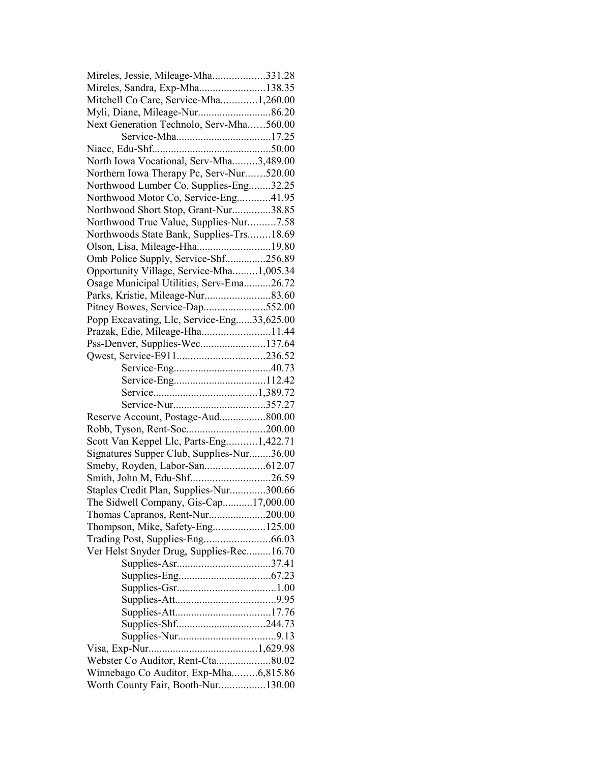| Mireles, Jessie, Mileage-Mha331.28         |  |
|--------------------------------------------|--|
| Mireles, Sandra, Exp-Mha138.35             |  |
| Mitchell Co Care, Service-Mha1,260.00      |  |
|                                            |  |
| Next Generation Technolo, Serv-Mha560.00   |  |
|                                            |  |
|                                            |  |
| North Iowa Vocational, Serv-Mha3,489.00    |  |
| Northern Iowa Therapy Pc, Serv-Nur520.00   |  |
| Northwood Lumber Co, Supplies-Eng32.25     |  |
| Northwood Motor Co, Service-Eng41.95       |  |
| Northwood Short Stop, Grant-Nur38.85       |  |
| Northwood True Value, Supplies-Nur7.58     |  |
| Northwoods State Bank, Supplies-Trs18.69   |  |
| Olson, Lisa, Mileage-Hha19.80              |  |
| Omb Police Supply, Service-Shf256.89       |  |
| Opportunity Village, Service-Mha1,005.34   |  |
| Osage Municipal Utilities, Serv-Ema26.72   |  |
|                                            |  |
| Pitney Bowes, Service-Dap552.00            |  |
| Popp Excavating, Llc, Service-Eng33,625.00 |  |
| Prazak, Edie, Mileage-Hha11.44             |  |
| Pss-Denver, Supplies-Wec137.64             |  |
|                                            |  |
|                                            |  |
|                                            |  |
|                                            |  |
|                                            |  |
| Reserve Account, Postage-Aud800.00         |  |
|                                            |  |
| Scott Van Keppel Llc, Parts-Eng1,422.71    |  |
| Signatures Supper Club, Supplies-Nur36.00  |  |
|                                            |  |
| Smith, John M, Edu-Shf26.59                |  |
| Staples Credit Plan, Supplies-Nur300.66    |  |
| The Sidwell Company, Gis-Cap17,000.00      |  |
| Thomas Capranos, Rent-Nur200.00            |  |
| Thompson, Mike, Safety-Eng125.00           |  |
|                                            |  |
| Ver Helst Snyder Drug, Supplies-Rec16.70   |  |
|                                            |  |
|                                            |  |
|                                            |  |
|                                            |  |
|                                            |  |
| Supplies-Shf244.73                         |  |
|                                            |  |
|                                            |  |
| Webster Co Auditor, Rent-Cta80.02          |  |
| Winnebago Co Auditor, Exp-Mha6,815.86      |  |
| Worth County Fair, Booth-Nur130.00         |  |
|                                            |  |